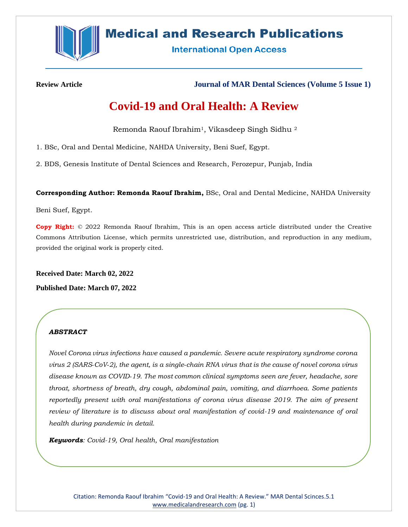

# **Medical and Research Publications**

**International Open Access** 

**Review Article Journal of MAR Dental Sciences (Volume 5 Issue 1)**

# **Covid-19 and Oral Health: A Review**

Remonda Raouf Ibrahim1, Vikasdeep Singh Sidhu <sup>2</sup>

1. BSc, Oral and Dental Medicine, NAHDA University, Beni Suef, Egypt.

2. BDS, Genesis Institute of Dental Sciences and Research, Ferozepur, Punjab, India

**Corresponding Author: Remonda Raouf Ibrahim,** BSc, Oral and Dental Medicine, NAHDA University

Beni Suef, Egypt.

**Copy Right:** © 2022 Remonda Raouf Ibrahim, This is an open access article distributed under the Creative Commons Attribution License, which permits unrestricted use, distribution, and reproduction in any medium, provided the original work is properly cited.

**Received Date: March 02, 2022**

**Published Date: March 07, 2022**

# *ABSTRACT*

*Novel Corona virus infections have caused a pandemic. Severe acute respiratory syndrome corona virus 2 (SARS‐CoV‐2), the agent, is a single‐chain RNA virus that is the cause of novel corona virus disease known as COVID‐19. The most common clinical symptoms seen are fever, headache, sore throat, shortness of breath, dry cough, abdominal pain, vomiting, and diarrhoea. Some patients reportedly present with oral manifestations of corona virus disease 2019. The aim of present review of literature is to discuss about oral manifestation of covid-19 and maintenance of oral health during pandemic in detail.*

*Keywords: Covid-19, Oral health, Oral manifestation*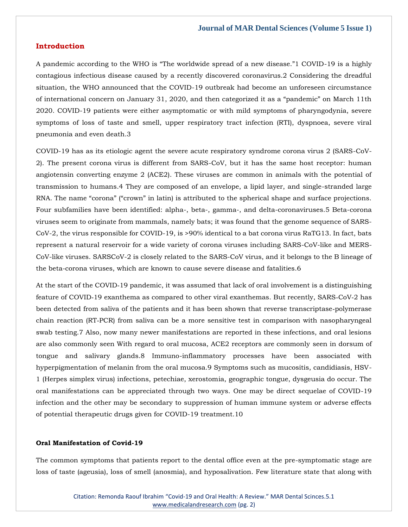## **Introduction**

A pandemic according to the WHO is "The worldwide spread of a new disease."1 COVID-19 is a highly contagious infectious disease caused by a recently discovered coronavirus.2 Considering the dreadful situation, the WHO announced that the COVID-19 outbreak had become an unforeseen circumstance of international concern on January 31, 2020, and then categorized it as a "pandemic" on March 11th 2020. COVID-19 patients were either asymptomatic or with mild symptoms of pharyngodynia, severe symptoms of loss of taste and smell, upper respiratory tract infection (RTI), dyspnoea, severe viral pneumonia and even death.3

COVID-19 has as its etiologic agent the severe acute respiratory syndrome corona virus 2 (SARS-CoV-2). The present corona virus is different from SARS-CoV, but it has the same host receptor: human angiotensin converting enzyme 2 (ACE2). These viruses are common in animals with the potential of transmission to humans.4 They are composed of an envelope, a lipid layer, and single-stranded large RNA. The name "corona" ("crown" in latin) is attributed to the spherical shape and surface projections. Four subfamilies have been identified: alpha-, beta-, gamma-, and delta-coronaviruses.5 Beta-corona viruses seem to originate from mammals, namely bats; it was found that the genome sequence of SARS-CoV-2, the virus responsible for COVID-19, is >90% identical to a bat corona virus RaTG13. In fact, bats represent a natural reservoir for a wide variety of corona viruses including SARS-CoV-like and MERS-CoV-like viruses. SARSCoV-2 is closely related to the SARS-CoV virus, and it belongs to the B lineage of the beta-corona viruses, which are known to cause severe disease and fatalities.6

At the start of the COVID‐19 pandemic, it was assumed that lack of oral involvement is a distinguishing feature of COVID‐19 exanthema as compared to other viral exanthemas. But recently, SARS‐CoV‐2 has been detected from saliva of the patients and it has been shown that reverse transcriptase-polymerase chain reaction (RT‐PCR) from saliva can be a more sensitive test in comparison with nasopharyngeal swab testing.7 Also, now many newer manifestations are reported in these infections, and oral lesions are also commonly seen With regard to oral mucosa, ACE2 receptors are commonly seen in dorsum of tongue and salivary glands.8 Immuno-inflammatory processes have been associated with hyperpigmentation of melanin from the oral mucosa.9 Symptoms such as mucositis, candidiasis, HSV-1 (Herpes simplex virus) infections, petechiae, xerostomia, geographic tongue, dysgeusia do occur. The oral manifestations can be appreciated through two ways. One may be direct sequelae of COVID-19 infection and the other may be secondary to suppression of human immune system or adverse effects of potential therapeutic drugs given for COVID-19 treatment.10

#### **Oral Manifestation of Covid-19**

The common symptoms that patients report to the dental office even at the pre-symptomatic stage are loss of taste (ageusia), loss of smell (anosmia), and hyposalivation. Few literature state that along with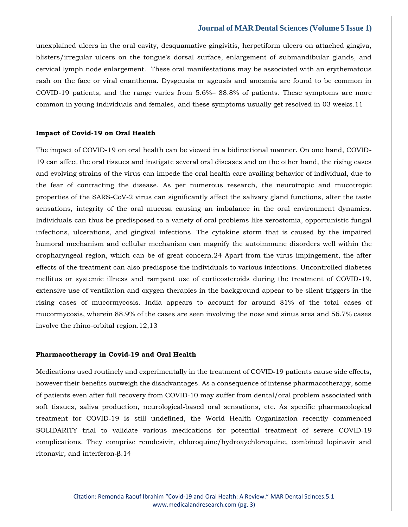unexplained ulcers in the oral cavity, desquamative gingivitis, herpetiform ulcers on attached gingiva, blisters/irregular ulcers on the tongue's dorsal surface, enlargement of submandibular glands, and cervical lymph node enlargement. These oral manifestations may be associated with an erythematous rash on the face or viral enanthema. Dysgeusia or ageusis and anosmia are found to be common in COVID-19 patients, and the range varies from 5.6%– 88.8% of patients. These symptoms are more common in young individuals and females, and these symptoms usually get resolved in 03 weeks.11

#### **Impact of Covid-19 on Oral Health**

The impact of COVID-19 on oral health can be viewed in a bidirectional manner. On one hand, COVID-19 can affect the oral tissues and instigate several oral diseases and on the other hand, the rising cases and evolving strains of the virus can impede the oral health care availing behavior of individual, due to the fear of contracting the disease. As per numerous research, the neurotropic and mucotropic properties of the SARS-CoV-2 virus can significantly affect the salivary gland functions, alter the taste sensations, integrity of the oral mucosa causing an imbalance in the oral environment dynamics. Individuals can thus be predisposed to a variety of oral problems like xerostomia, opportunistic fungal infections, ulcerations, and gingival infections. The cytokine storm that is caused by the impaired humoral mechanism and cellular mechanism can magnify the autoimmune disorders well within the oropharyngeal region, which can be of great concern.24 Apart from the virus impingement, the after effects of the treatment can also predispose the individuals to various infections. Uncontrolled diabetes mellitus or systemic illness and rampant use of corticosteroids during the treatment of COVID-19, extensive use of ventilation and oxygen therapies in the background appear to be silent triggers in the rising cases of mucormycosis. India appears to account for around 81% of the total cases of mucormycosis, wherein 88.9% of the cases are seen involving the nose and sinus area and 56.7% cases involve the rhino-orbital region.12,13

#### **Pharmacotherapy in Covid‐19 and Oral Health**

Medications used routinely and experimentally in the treatment of COVID‐19 patients cause side effects, however their benefits outweigh the disadvantages. As a consequence of intense pharmacotherapy, some of patients even after full recovery from COVID‐10 may suffer from dental/oral problem associated with soft tissues, saliva production, neurological-based oral sensations, etc. As specific pharmacological treatment for COVID‐19 is still undefined, the World Health Organization recently commenced SOLIDARITY trial to validate various medications for potential treatment of severe COVID‐19 complications. They comprise remdesivir, chloroquine/hydroxychloroquine, combined lopinavir and ritonavir, and interferon‐β.14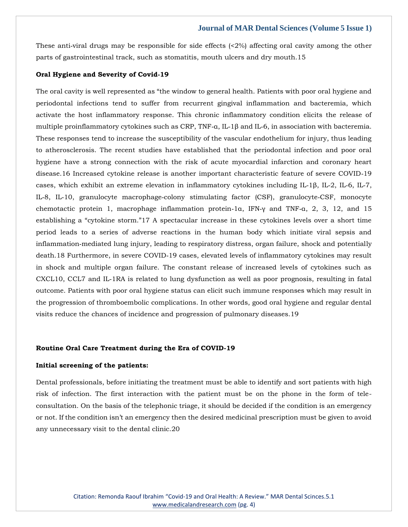These anti-viral drugs may be responsible for side effects  $\langle 2\% \rangle$  affecting oral cavity among the other parts of gastrointestinal track, such as stomatitis, mouth ulcers and dry mouth.15

#### **Oral Hygiene and Severity of Covid‐19**

The oral cavity is well represented as "the window to general health. Patients with poor oral hygiene and periodontal infections tend to suffer from recurrent gingival inflammation and bacteremia, which activate the host inflammatory response. This chronic inflammatory condition elicits the release of multiple proinflammatory cytokines such as CRP, TNF- $a$ , IL-1 $\beta$  and IL-6, in association with bacteremia. These responses tend to increase the susceptibility of the vascular endothelium for injury, thus leading to atherosclerosis. The recent studies have established that the periodontal infection and poor oral hygiene have a strong connection with the risk of acute myocardial infarction and coronary heart disease.16 Increased cytokine release is another important characteristic feature of severe COVID-19 cases, which exhibit an extreme elevation in inflammatory cytokines including IL‑1β, IL‑2, IL‑6, IL‑7, IL-8, IL-10, granulocyte macrophage-colony stimulating factor (CSF), granulocyte-CSF, monocyte chemotactic protein 1, macrophage inflammation protein-1α, IFN- $\gamma$  and TNF-α, 2, 3, 12, and 15 establishing a "cytokine storm."17 A spectacular increase in these cytokines levels over a short time period leads to a series of adverse reactions in the human body which initiate viral sepsis and inflammation‑mediated lung injury, leading to respiratory distress, organ failure, shock and potentially death.18 Furthermore, in severe COVID-19 cases, elevated levels of inflammatory cytokines may result in shock and multiple organ failure. The constant release of increased levels of cytokines such as CXCL10, CCL7 and IL‑1RA is related to lung dysfunction as well as poor prognosis, resulting in fatal outcome. Patients with poor oral hygiene status can elicit such immune responses which may result in the progression of thromboembolic complications. In other words, good oral hygiene and regular dental visits reduce the chances of incidence and progression of pulmonary diseases.19

#### **Routine Oral Care Treatment during the Era of COVID-19**

#### **Initial screening of the patients:**

Dental professionals, before initiating the treatment must be able to identify and sort patients with high risk of infection. The first interaction with the patient must be on the phone in the form of teleconsultation. On the basis of the telephonic triage, it should be decided if the condition is an emergency or not. If the condition isn't an emergency then the desired medicinal prescription must be given to avoid any unnecessary visit to the dental clinic.20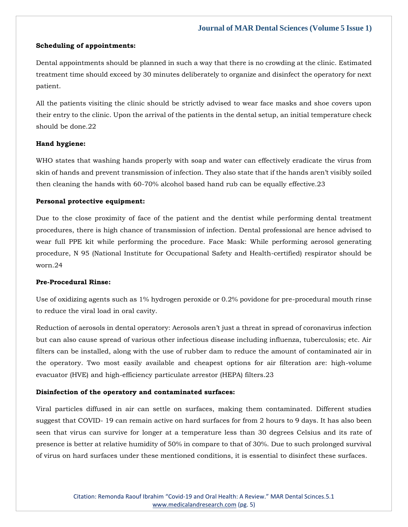#### **Scheduling of appointments:**

Dental appointments should be planned in such a way that there is no crowding at the clinic. Estimated treatment time should exceed by 30 minutes deliberately to organize and disinfect the operatory for next patient.

All the patients visiting the clinic should be strictly advised to wear face masks and shoe covers upon their entry to the clinic. Upon the arrival of the patients in the dental setup, an initial temperature check should be done 22

#### **Hand hygiene:**

WHO states that washing hands properly with soap and water can effectively eradicate the virus from skin of hands and prevent transmission of infection. They also state that if the hands aren't visibly soiled then cleaning the hands with 60-70% alcohol based hand rub can be equally effective.23

## **Personal protective equipment:**

Due to the close proximity of face of the patient and the dentist while performing dental treatment procedures, there is high chance of transmission of infection. Dental professional are hence advised to wear full PPE kit while performing the procedure. Face Mask: While performing aerosol generating procedure, N 95 (National Institute for Occupational Safety and Health-certified) respirator should be worn.24

# **Pre-Procedural Rinse:**

Use of oxidizing agents such as 1% hydrogen peroxide or 0.2% povidone for pre-procedural mouth rinse to reduce the viral load in oral cavity.

Reduction of aerosols in dental operatory: Aerosols aren't just a threat in spread of coronavirus infection but can also cause spread of various other infectious disease including influenza, tuberculosis; etc. Air filters can be installed, along with the use of rubber dam to reduce the amount of contaminated air in the operatory. Two most easily available and cheapest options for air filteration are: high-volume evacuator (HVE) and high-efficiency particulate arrestor (HEPA) filters.23

## **Disinfection of the operatory and contaminated surfaces:**

Viral particles diffused in air can settle on surfaces, making them contaminated. Different studies suggest that COVID- 19 can remain active on hard surfaces for from 2 hours to 9 days. It has also been seen that virus can survive for longer at a temperature less than 30 degrees Celsius and its rate of presence is better at relative humidity of 50% in compare to that of 30%. Due to such prolonged survival of virus on hard surfaces under these mentioned conditions, it is essential to disinfect these surfaces.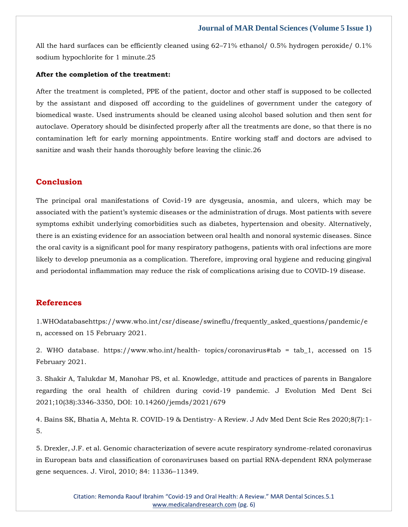All the hard surfaces can be efficiently cleaned using 62–71% ethanol/ 0.5% hydrogen peroxide/ 0.1% sodium hypochlorite for 1 minute.25

#### **After the completion of the treatment:**

After the treatment is completed, PPE of the patient, doctor and other staff is supposed to be collected by the assistant and disposed off according to the guidelines of government under the category of biomedical waste. Used instruments should be cleaned using alcohol based solution and then sent for autoclave. Operatory should be disinfected properly after all the treatments are done, so that there is no contamination left for early morning appointments. Entire working staff and doctors are advised to sanitize and wash their hands thoroughly before leaving the clinic.26

# **Conclusion**

The principal oral manifestations of Covid-19 are dysgeusia, anosmia, and ulcers, which may be associated with the patient's systemic diseases or the administration of drugs. Most patients with severe symptoms exhibit underlying comorbidities such as diabetes, hypertension and obesity. Alternatively, there is an existing evidence for an association between oral health and nonoral systemic diseases. Since the oral cavity is a significant pool for many respiratory pathogens, patients with oral infections are more likely to develop pneumonia as a complication. Therefore, improving oral hygiene and reducing gingival and periodontal inflammation may reduce the risk of complications arising due to COVID-19 disease.

## **References**

1.WHOdatabasehttps://www.who.int/csr/disease/swineflu/frequently\_asked\_questions/pandemic/e n, accessed on 15 February 2021.

2. WHO database. https://www.who.int/health- topics/coronavirus#tab = tab\_1, accessed on 15 February 2021.

3. Shakir A, Talukdar M, Manohar PS, et al. Knowledge, attitude and practices of parents in Bangalore regarding the oral health of children during covid-19 pandemic. J Evolution Med Dent Sci 2021;10(38):3346-3350, DOI: 10.14260/jemds/2021/679

[4. Bains SK, Bhatia A, Mehta R. COVID-19 & Dentistry-](https://uk.search.yahoo.com/search?fr=mcafee&type=E211GB885G0&p=COVID-19+%26+Dentistry-+A+Review) A Review. J Adv Med Dent Scie Res 2020;8(7):1- [5.](https://uk.search.yahoo.com/search?fr=mcafee&type=E211GB885G0&p=COVID-19+%26+Dentistry-+A+Review)

[5. Drexler, J.F. et al. Genomic characterization of severe acute respiratory syndrome-related coronavirus](https://uk.search.yahoo.com/search;_ylt=AwrgEa7xlCVio9wALuEM34lQ;_ylc=X1MDMTM1MTIxMjgxMgRfcgMyBGZyA21jYWZlZQRmcjIDc2ItdG9wBGdwcmlkAzZTNjhxcXdJU19lTkJCUEZHZC5CSkEEbl9yc2x0AzAEbl9zdWdnAzAEb3JpZ2luA3VrLnNlYXJjaC55YWhvby5jb20EcG9zAzAEcHFzdHIDBHBxc3RybAMwBHFzdHJsAzE5NgRxdWVyeQNHZW5vbWljJTIwY2hhcmFjdGVyaXphdGlvbiUyMG9mJTIwc2V2ZXJlJTIwYWN1dGUlMjByZXNwaXJhdG9yeSUyMHN5bmRyb21lLXJlbGF0ZWQlMjBjb3JvbmF2aXJ1cyUyMGluJTIwRXVyb3BlYW4lMjBiYXRzJTIwYW5kJTIwY2xhc3NpZmljYXRpb24lMjBvZiUyMGNvcm9uYXZpcnVzZXMlMjBiYXNlZCUyMG9uJTIwcGFydGlhbCUyMFJOQS1kZXBlbmRlbnQlMjBSTkElMjBwb2x5bWVyYXNlJTIwZ2VuZSUyMHNlcXVlbmNlcy4EdF9zdG1wAzE2NDY2MzAxNDg-?p=Genomic+characterization+of+severe+acute+respiratory+syndrome-related+coronavirus+in+European+bats+and+classification+of+coronaviruses+based+on+partial+RNA-dependent+RNA+polymerase+gene+sequences.&fr2=sb-top&fr=mcafee&type=E211GB885G0)  [in European bats and classification of coronaviruses based on partial RNA-dependent RNA polymerase](https://uk.search.yahoo.com/search;_ylt=AwrgEa7xlCVio9wALuEM34lQ;_ylc=X1MDMTM1MTIxMjgxMgRfcgMyBGZyA21jYWZlZQRmcjIDc2ItdG9wBGdwcmlkAzZTNjhxcXdJU19lTkJCUEZHZC5CSkEEbl9yc2x0AzAEbl9zdWdnAzAEb3JpZ2luA3VrLnNlYXJjaC55YWhvby5jb20EcG9zAzAEcHFzdHIDBHBxc3RybAMwBHFzdHJsAzE5NgRxdWVyeQNHZW5vbWljJTIwY2hhcmFjdGVyaXphdGlvbiUyMG9mJTIwc2V2ZXJlJTIwYWN1dGUlMjByZXNwaXJhdG9yeSUyMHN5bmRyb21lLXJlbGF0ZWQlMjBjb3JvbmF2aXJ1cyUyMGluJTIwRXVyb3BlYW4lMjBiYXRzJTIwYW5kJTIwY2xhc3NpZmljYXRpb24lMjBvZiUyMGNvcm9uYXZpcnVzZXMlMjBiYXNlZCUyMG9uJTIwcGFydGlhbCUyMFJOQS1kZXBlbmRlbnQlMjBSTkElMjBwb2x5bWVyYXNlJTIwZ2VuZSUyMHNlcXVlbmNlcy4EdF9zdG1wAzE2NDY2MzAxNDg-?p=Genomic+characterization+of+severe+acute+respiratory+syndrome-related+coronavirus+in+European+bats+and+classification+of+coronaviruses+based+on+partial+RNA-dependent+RNA+polymerase+gene+sequences.&fr2=sb-top&fr=mcafee&type=E211GB885G0)  [gene sequences. J. Virol, 2010; 84: 11336](https://uk.search.yahoo.com/search;_ylt=AwrgEa7xlCVio9wALuEM34lQ;_ylc=X1MDMTM1MTIxMjgxMgRfcgMyBGZyA21jYWZlZQRmcjIDc2ItdG9wBGdwcmlkAzZTNjhxcXdJU19lTkJCUEZHZC5CSkEEbl9yc2x0AzAEbl9zdWdnAzAEb3JpZ2luA3VrLnNlYXJjaC55YWhvby5jb20EcG9zAzAEcHFzdHIDBHBxc3RybAMwBHFzdHJsAzE5NgRxdWVyeQNHZW5vbWljJTIwY2hhcmFjdGVyaXphdGlvbiUyMG9mJTIwc2V2ZXJlJTIwYWN1dGUlMjByZXNwaXJhdG9yeSUyMHN5bmRyb21lLXJlbGF0ZWQlMjBjb3JvbmF2aXJ1cyUyMGluJTIwRXVyb3BlYW4lMjBiYXRzJTIwYW5kJTIwY2xhc3NpZmljYXRpb24lMjBvZiUyMGNvcm9uYXZpcnVzZXMlMjBiYXNlZCUyMG9uJTIwcGFydGlhbCUyMFJOQS1kZXBlbmRlbnQlMjBSTkElMjBwb2x5bWVyYXNlJTIwZ2VuZSUyMHNlcXVlbmNlcy4EdF9zdG1wAzE2NDY2MzAxNDg-?p=Genomic+characterization+of+severe+acute+respiratory+syndrome-related+coronavirus+in+European+bats+and+classification+of+coronaviruses+based+on+partial+RNA-dependent+RNA+polymerase+gene+sequences.&fr2=sb-top&fr=mcafee&type=E211GB885G0)–11349.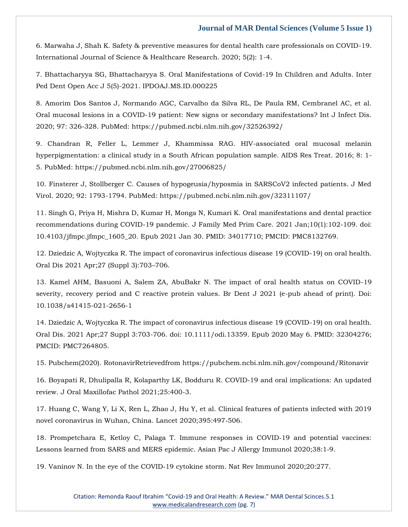[6. Marwaha J, Shah K. Safety & preventive measures for dental health care professionals on COVID-19.](https://uk.search.yahoo.com/search;_ylt=AwrT4o8DlSViAC8A9tMM34lQ;_ylc=X1MDMTM1MTIxMjgxMgRfcgMyBGZyA21jYWZlZQRmcjIDc2ItdG9wBGdwcmlkA2hQaGlxbkpoUzYyQ3poSVIyUlk2OUEEbl9yc2x0AzAEbl9zdWdnAzAEb3JpZ2luA3VrLnNlYXJjaC55YWhvby5jb20EcG9zAzAEcHFzdHIDBHBxc3RybAMwBHFzdHJsAzEzMwRxdWVyeQNTYWZldHklMjAlMjYlMjBwcmV2ZW50aXZlJTIwbWVhc3VyZXMlMjBmb3IlMjBkZW50YWwlMjBoZWFsdGglMjBjYXJlJTIwcHJvZmVzc2lvbmFscyUyMG9uJTIwQ09WSUQtMTkuJTIwSW50ZXJuYXRpb25hbCUyMEpvdXJuYWwlMjBvZiUyMFNjaWVuY2UlMjAlMjYlMjBIZWFsdGhjYXJlJTIwUmVzZWFyY2gEdF9zdG1wAzE2NDY2MzAxNjM-?p=Safety+%26+preventive+measures+for+dental+health+care+professionals+on+COVID-19.+International+Journal+of+Science+%26+Healthcare+Research&fr2=sb-top&fr=mcafee&type=E211GB885G0)  [International Journal of Science & Healthcare Research. 2020; 5\(2\): 1-4.](https://uk.search.yahoo.com/search;_ylt=AwrT4o8DlSViAC8A9tMM34lQ;_ylc=X1MDMTM1MTIxMjgxMgRfcgMyBGZyA21jYWZlZQRmcjIDc2ItdG9wBGdwcmlkA2hQaGlxbkpoUzYyQ3poSVIyUlk2OUEEbl9yc2x0AzAEbl9zdWdnAzAEb3JpZ2luA3VrLnNlYXJjaC55YWhvby5jb20EcG9zAzAEcHFzdHIDBHBxc3RybAMwBHFzdHJsAzEzMwRxdWVyeQNTYWZldHklMjAlMjYlMjBwcmV2ZW50aXZlJTIwbWVhc3VyZXMlMjBmb3IlMjBkZW50YWwlMjBoZWFsdGglMjBjYXJlJTIwcHJvZmVzc2lvbmFscyUyMG9uJTIwQ09WSUQtMTkuJTIwSW50ZXJuYXRpb25hbCUyMEpvdXJuYWwlMjBvZiUyMFNjaWVuY2UlMjAlMjYlMjBIZWFsdGhjYXJlJTIwUmVzZWFyY2gEdF9zdG1wAzE2NDY2MzAxNjM-?p=Safety+%26+preventive+measures+for+dental+health+care+professionals+on+COVID-19.+International+Journal+of+Science+%26+Healthcare+Research&fr2=sb-top&fr=mcafee&type=E211GB885G0)

[7. Bhattacharyya SG, Bhattacharyya S. Oral Manifestations of Covid-19 In Children and Adults. Inter](https://uk.search.yahoo.com/search;_ylt=AwrTYlcSlSVi7SYAe7AM34lQ;_ylc=X1MDMTM1MTIxMjgxMgRfcgMyBGZyA21jYWZlZQRmcjIDc2ItdG9wBGdwcmlkA2xKWFdzalVhUlZlMFBnUWgzMHBnN0EEbl9yc2x0AzAEbl9zdWdnAzAEb3JpZ2luA3VrLnNlYXJjaC55YWhvby5jb20EcG9zAzAEcHFzdHIDBHBxc3RybAMwBHFzdHJsAzU2BHF1ZXJ5Ay4lMjBPcmFsJTIwTWFuaWZlc3RhdGlvbnMlMjBvZiUyMENvdmlkLTE5JTIwSW4lMjBDaGlsZHJlbiUyMGFuZCUyMEFkdWx0cwR0X3N0bXADMTY0NjYzMDE3OQ--?p=.+Oral+Manifestations+of+Covid-19+In+Children+and+Adults&fr2=sb-top&fr=mcafee&type=E211GB885G0)  [Ped Dent Open Acc J 5\(5\)-2021. IPDOAJ.MS.ID.000225](https://uk.search.yahoo.com/search;_ylt=AwrTYlcSlSVi7SYAe7AM34lQ;_ylc=X1MDMTM1MTIxMjgxMgRfcgMyBGZyA21jYWZlZQRmcjIDc2ItdG9wBGdwcmlkA2xKWFdzalVhUlZlMFBnUWgzMHBnN0EEbl9yc2x0AzAEbl9zdWdnAzAEb3JpZ2luA3VrLnNlYXJjaC55YWhvby5jb20EcG9zAzAEcHFzdHIDBHBxc3RybAMwBHFzdHJsAzU2BHF1ZXJ5Ay4lMjBPcmFsJTIwTWFuaWZlc3RhdGlvbnMlMjBvZiUyMENvdmlkLTE5JTIwSW4lMjBDaGlsZHJlbiUyMGFuZCUyMEFkdWx0cwR0X3N0bXADMTY0NjYzMDE3OQ--?p=.+Oral+Manifestations+of+Covid-19+In+Children+and+Adults&fr2=sb-top&fr=mcafee&type=E211GB885G0)

8. Amorim Dos Santos J, Normando AGC, Carvalho da Silva RL, De Paula RM, Cembranel AC, et al. Oral mucosal lesions in a COVID-19 patient: New signs or secondary manifestations? Int J Infect Dis. 2020; 97: 326-328. PubMed: https://pubmed.ncbi.nlm.nih.gov/32526392/

9. Chandran R, Feller L, Lemmer J, Khammissa RAG. HIV-associated oral mucosal melanin hyperpigmentation: a clinical study in a South African population sample. AIDS Res Treat. 2016; 8: 1- 5. PubMed: https://pubmed.ncbi.nlm.nih.gov/27006825/

10. Finsterer J, Stollberger C. Causes of hypogeusia/hyposmia in SARSCoV2 infected patients. J Med Virol. 2020; 92: 1793-1794. PubMed: https://pubmed.ncbi.nlm.nih.gov/32311107/

[11. Singh G, Priya H, Mishra D, Kumar H, Monga N, Kumari K. Oral manifestations and dental practice](https://uk.search.yahoo.com/search;_ylt=AwrT4pIilSViJ.kACkcM34lQ;_ylc=X1MDMTM1MTIxMjgxMgRfcgMyBGZyA21jYWZlZQRmcjIDc2ItdG9wBGdwcmlkA2tMa2Y3aHlpVE1DRHJxYlN6QTN2c0EEbl9yc2x0AzAEbl9zdWdnAzAEb3JpZ2luA3VrLnNlYXJjaC55YWhvby5jb20EcG9zAzAEcHFzdHIDBHBxc3RybAMwBHFzdHJsAzgwBHF1ZXJ5A09yYWwlMjBtYW5pZmVzdGF0aW9ucyUyMGFuZCUyMGRlbnRhbCUyMHByYWN0aWNlJTIwcmVjb21tZW5kYXRpb25zJTIwZHVyaW5nJTIwQ09WSUQtMTklMjBwYW5kZW1pYwR0X3N0bXADMTY0NjYzMDE5Nw--?p=Oral+manifestations+and+dental+practice+recommendations+during+COVID-19+pandemic&fr2=sb-top&fr=mcafee&type=E211GB885G0)  [recommendations during COVID-19 pandemic. J Family Med Prim Care. 2021 Jan;10\(1\):102-109. doi:](https://uk.search.yahoo.com/search;_ylt=AwrT4pIilSViJ.kACkcM34lQ;_ylc=X1MDMTM1MTIxMjgxMgRfcgMyBGZyA21jYWZlZQRmcjIDc2ItdG9wBGdwcmlkA2tMa2Y3aHlpVE1DRHJxYlN6QTN2c0EEbl9yc2x0AzAEbl9zdWdnAzAEb3JpZ2luA3VrLnNlYXJjaC55YWhvby5jb20EcG9zAzAEcHFzdHIDBHBxc3RybAMwBHFzdHJsAzgwBHF1ZXJ5A09yYWwlMjBtYW5pZmVzdGF0aW9ucyUyMGFuZCUyMGRlbnRhbCUyMHByYWN0aWNlJTIwcmVjb21tZW5kYXRpb25zJTIwZHVyaW5nJTIwQ09WSUQtMTklMjBwYW5kZW1pYwR0X3N0bXADMTY0NjYzMDE5Nw--?p=Oral+manifestations+and+dental+practice+recommendations+during+COVID-19+pandemic&fr2=sb-top&fr=mcafee&type=E211GB885G0)  [10.4103/jfmpc.jfmpc\\_1605\\_20. Epub 2021 Jan 30. PMID: 34017710; PMCID: PMC8132769.](https://uk.search.yahoo.com/search;_ylt=AwrT4pIilSViJ.kACkcM34lQ;_ylc=X1MDMTM1MTIxMjgxMgRfcgMyBGZyA21jYWZlZQRmcjIDc2ItdG9wBGdwcmlkA2tMa2Y3aHlpVE1DRHJxYlN6QTN2c0EEbl9yc2x0AzAEbl9zdWdnAzAEb3JpZ2luA3VrLnNlYXJjaC55YWhvby5jb20EcG9zAzAEcHFzdHIDBHBxc3RybAMwBHFzdHJsAzgwBHF1ZXJ5A09yYWwlMjBtYW5pZmVzdGF0aW9ucyUyMGFuZCUyMGRlbnRhbCUyMHByYWN0aWNlJTIwcmVjb21tZW5kYXRpb25zJTIwZHVyaW5nJTIwQ09WSUQtMTklMjBwYW5kZW1pYwR0X3N0bXADMTY0NjYzMDE5Nw--?p=Oral+manifestations+and+dental+practice+recommendations+during+COVID-19+pandemic&fr2=sb-top&fr=mcafee&type=E211GB885G0)

[12. Dziedzic A, Wojtyczka R. The impact of coronavirus infectious disease 19 \(COVID-19\) on oral health.](https://uk.search.yahoo.com/search;_ylt=Awr9J.o0lSVilpoAYPAM34lQ;_ylc=X1MDMTM1MTIxMjgxMgRfcgMyBGZyA21jYWZlZQRmcjIDc2ItdG9wBGdwcmlkA3pEMFduaXhiVHpxbGdFNms3cmFhbEEEbl9yc2x0AzAEbl9zdWdnAzAEb3JpZ2luA3VrLnNlYXJjaC55YWhvby5jb20EcG9zAzAEcHFzdHIDBHBxc3RybAMwBHFzdHJsAzczBHF1ZXJ5A1RoZSUyMGltcGFjdCUyMG9mJTIwY29yb25hdmlydXMlMjBpbmZlY3Rpb3VzJTIwZGlzZWFzZSUyMDE5JTIwKENPVklELTE5KSUyMG9uJTIwb3JhbCUyMGhlYWx0aAR0X3N0bXADMTY0NjYzMDIxMQ--?p=The+impact+of+coronavirus+infectious+disease+19+%28COVID-19%29+on+oral+health&fr2=sb-top&fr=mcafee&type=E211GB885G0)  [Oral Dis 2021 Apr;27 \(Suppl 3\):703](https://uk.search.yahoo.com/search;_ylt=Awr9J.o0lSVilpoAYPAM34lQ;_ylc=X1MDMTM1MTIxMjgxMgRfcgMyBGZyA21jYWZlZQRmcjIDc2ItdG9wBGdwcmlkA3pEMFduaXhiVHpxbGdFNms3cmFhbEEEbl9yc2x0AzAEbl9zdWdnAzAEb3JpZ2luA3VrLnNlYXJjaC55YWhvby5jb20EcG9zAzAEcHFzdHIDBHBxc3RybAMwBHFzdHJsAzczBHF1ZXJ5A1RoZSUyMGltcGFjdCUyMG9mJTIwY29yb25hdmlydXMlMjBpbmZlY3Rpb3VzJTIwZGlzZWFzZSUyMDE5JTIwKENPVklELTE5KSUyMG9uJTIwb3JhbCUyMGhlYWx0aAR0X3N0bXADMTY0NjYzMDIxMQ--?p=The+impact+of+coronavirus+infectious+disease+19+%28COVID-19%29+on+oral+health&fr2=sb-top&fr=mcafee&type=E211GB885G0)–706.

[13. Kamel AHM, Basuoni A, Salem ZA, AbuBakr N. The impact of oral health status on COVID-19](https://uk.search.yahoo.com/search;_ylt=Awr9J.dBlSVi8qoADkQM34lQ;_ylc=X1MDMTM1MTIxMjgxMgRfcgMyBGZyA21jYWZlZQRmcjIDc2ItdG9wBGdwcmlkA3U3Nm12ZDJyUmx5cndsU0F1WnJTZUEEbl9yc2x0AzAEbl9zdWdnAzAEb3JpZ2luA3VrLnNlYXJjaC55YWhvby5jb20EcG9zAzAEcHFzdHIDBHBxc3RybAMwBHFzdHJsAzEwMARxdWVyeQNUaGUlMjBpbXBhY3QlMjBvZiUyMG9yYWwlMjBoZWFsdGglMjBzdGF0dXMlMjBvbiUyMENPVklELTE5JTIwc2V2ZXJpdHklMkMlMjByZWNvdmVyeSUyMHBlcmlvZCUyMGFuZCUyMEMlMjByZWFjdGl2ZSUyMHByb3RlaW4lMjB2YWx1ZXMEdF9zdG1wAzE2NDY2MzAyMjQ-?p=The+impact+of+oral+health+status+on+COVID-19+severity%2C+recovery+period+and+C+reactive+protein+values&fr2=sb-top&fr=mcafee&type=E211GB885G0)  [severity, recovery period and C reactive protein values. Br Dent J 2021 \(e-pub ahead of print\). Doi:](https://uk.search.yahoo.com/search;_ylt=Awr9J.dBlSVi8qoADkQM34lQ;_ylc=X1MDMTM1MTIxMjgxMgRfcgMyBGZyA21jYWZlZQRmcjIDc2ItdG9wBGdwcmlkA3U3Nm12ZDJyUmx5cndsU0F1WnJTZUEEbl9yc2x0AzAEbl9zdWdnAzAEb3JpZ2luA3VrLnNlYXJjaC55YWhvby5jb20EcG9zAzAEcHFzdHIDBHBxc3RybAMwBHFzdHJsAzEwMARxdWVyeQNUaGUlMjBpbXBhY3QlMjBvZiUyMG9yYWwlMjBoZWFsdGglMjBzdGF0dXMlMjBvbiUyMENPVklELTE5JTIwc2V2ZXJpdHklMkMlMjByZWNvdmVyeSUyMHBlcmlvZCUyMGFuZCUyMEMlMjByZWFjdGl2ZSUyMHByb3RlaW4lMjB2YWx1ZXMEdF9zdG1wAzE2NDY2MzAyMjQ-?p=The+impact+of+oral+health+status+on+COVID-19+severity%2C+recovery+period+and+C+reactive+protein+values&fr2=sb-top&fr=mcafee&type=E211GB885G0)  [10.1038/s41415-021-2656-1](https://uk.search.yahoo.com/search;_ylt=Awr9J.dBlSVi8qoADkQM34lQ;_ylc=X1MDMTM1MTIxMjgxMgRfcgMyBGZyA21jYWZlZQRmcjIDc2ItdG9wBGdwcmlkA3U3Nm12ZDJyUmx5cndsU0F1WnJTZUEEbl9yc2x0AzAEbl9zdWdnAzAEb3JpZ2luA3VrLnNlYXJjaC55YWhvby5jb20EcG9zAzAEcHFzdHIDBHBxc3RybAMwBHFzdHJsAzEwMARxdWVyeQNUaGUlMjBpbXBhY3QlMjBvZiUyMG9yYWwlMjBoZWFsdGglMjBzdGF0dXMlMjBvbiUyMENPVklELTE5JTIwc2V2ZXJpdHklMkMlMjByZWNvdmVyeSUyMHBlcmlvZCUyMGFuZCUyMEMlMjByZWFjdGl2ZSUyMHByb3RlaW4lMjB2YWx1ZXMEdF9zdG1wAzE2NDY2MzAyMjQ-?p=The+impact+of+oral+health+status+on+COVID-19+severity%2C+recovery+period+and+C+reactive+protein+values&fr2=sb-top&fr=mcafee&type=E211GB885G0)

[14. Dziedzic A, Wojtyczka R. The impact of coronavirus infectious disease 19 \(COVID-19\) on oral health.](https://uk.search.yahoo.com/search;_ylt=Awr9J.tPlSViK54A5toM34lQ;_ylc=X1MDMTM1MTIxMjgxMgRfcgMyBGZyA21jYWZlZQRmcjIDc2ItdG9wBGdwcmlkAzVYeWZOWFV1U29tajN6QjVSZENmSUEEbl9yc2x0AzAEbl9zdWdnAzAEb3JpZ2luA3VrLnNlYXJjaC55YWhvby5jb20EcG9zAzAEcHFzdHIDBHBxc3RybAMwBHFzdHJsAzczBHF1ZXJ5A1RoZSUyMGltcGFjdCUyMG9mJTIwY29yb25hdmlydXMlMjBpbmZlY3Rpb3VzJTIwZGlzZWFzZSUyMDE5JTIwKENPVklELTE5KSUyMG9uJTIwb3JhbCUyMGhlYWx0aAR0X3N0bXADMTY0NjYzMDI0MA--?p=The+impact+of+coronavirus+infectious+disease+19+%28COVID-19%29+on+oral+health&fr2=sb-top&fr=mcafee&type=E211GB885G0)  [Oral Dis. 2021 Apr;27 Suppl 3:703-706. doi: 10.1111/odi.13359. Epub 2020 May 6. PMID: 32304276;](https://uk.search.yahoo.com/search;_ylt=Awr9J.tPlSViK54A5toM34lQ;_ylc=X1MDMTM1MTIxMjgxMgRfcgMyBGZyA21jYWZlZQRmcjIDc2ItdG9wBGdwcmlkAzVYeWZOWFV1U29tajN6QjVSZENmSUEEbl9yc2x0AzAEbl9zdWdnAzAEb3JpZ2luA3VrLnNlYXJjaC55YWhvby5jb20EcG9zAzAEcHFzdHIDBHBxc3RybAMwBHFzdHJsAzczBHF1ZXJ5A1RoZSUyMGltcGFjdCUyMG9mJTIwY29yb25hdmlydXMlMjBpbmZlY3Rpb3VzJTIwZGlzZWFzZSUyMDE5JTIwKENPVklELTE5KSUyMG9uJTIwb3JhbCUyMGhlYWx0aAR0X3N0bXADMTY0NjYzMDI0MA--?p=The+impact+of+coronavirus+infectious+disease+19+%28COVID-19%29+on+oral+health&fr2=sb-top&fr=mcafee&type=E211GB885G0)  [PMCID: PMC7264805.](https://uk.search.yahoo.com/search;_ylt=Awr9J.tPlSViK54A5toM34lQ;_ylc=X1MDMTM1MTIxMjgxMgRfcgMyBGZyA21jYWZlZQRmcjIDc2ItdG9wBGdwcmlkAzVYeWZOWFV1U29tajN6QjVSZENmSUEEbl9yc2x0AzAEbl9zdWdnAzAEb3JpZ2luA3VrLnNlYXJjaC55YWhvby5jb20EcG9zAzAEcHFzdHIDBHBxc3RybAMwBHFzdHJsAzczBHF1ZXJ5A1RoZSUyMGltcGFjdCUyMG9mJTIwY29yb25hdmlydXMlMjBpbmZlY3Rpb3VzJTIwZGlzZWFzZSUyMDE5JTIwKENPVklELTE5KSUyMG9uJTIwb3JhbCUyMGhlYWx0aAR0X3N0bXADMTY0NjYzMDI0MA--?p=The+impact+of+coronavirus+infectious+disease+19+%28COVID-19%29+on+oral+health&fr2=sb-top&fr=mcafee&type=E211GB885G0)

15. Pubchem(2020). RotonavirRetrievedfrom https://pubchem.ncbi.nlm.nih.gov/compound/Ritonavir

[16. Boyapati R, Dhulipalla R, Kolaparthy LK, Bodduru R. COVID](https://uk.search.yahoo.com/search;_ylt=Awr9NI9tlSVimvgAvdgM34lQ;_ylc=X1MDMTM1MTIxMjgxMgRfcgMyBGZyA21jYWZlZQRmcjIDc2ItdG9wBGdwcmlkAwRuX3JzbHQDMARuX3N1Z2cDMARvcmlnaW4DdWsuc2VhcmNoLnlhaG9vLmNvbQRwb3MDMARwcXN0cgMEcHFzdHJsAzAEcXN0cmwDMzAEcXVlcnkDQ09WSUQlRTIlODAlOTExOSUyMGFuZCUyMG9yYWwlMjBpbXBsaWNhdGlvbnMEdF9zdG1wAzE2NDY2MzAyNTY-?p=COVID%E2%80%9119+and+oral+implications&fr2=sb-top&fr=mcafee&type=E211GB885G0)‑19 and oral implications: An updated [review. J Oral Maxillofac Pathol 2021;25:400-3.](https://uk.search.yahoo.com/search;_ylt=Awr9NI9tlSVimvgAvdgM34lQ;_ylc=X1MDMTM1MTIxMjgxMgRfcgMyBGZyA21jYWZlZQRmcjIDc2ItdG9wBGdwcmlkAwRuX3JzbHQDMARuX3N1Z2cDMARvcmlnaW4DdWsuc2VhcmNoLnlhaG9vLmNvbQRwb3MDMARwcXN0cgMEcHFzdHJsAzAEcXN0cmwDMzAEcXVlcnkDQ09WSUQlRTIlODAlOTExOSUyMGFuZCUyMG9yYWwlMjBpbXBsaWNhdGlvbnMEdF9zdG1wAzE2NDY2MzAyNTY-?p=COVID%E2%80%9119+and+oral+implications&fr2=sb-top&fr=mcafee&type=E211GB885G0)

[17. Huang C, Wang Y, Li X, Ren L, Zhao J, Hu Y, et al. Clinical features of patients infected with 2019](https://uk.search.yahoo.com/search;_ylt=AwrT4pRvlSViQXMAQz8M34lQ;_ylc=X1MDMTM1MTIxMjgxMgRfcgMyBGZyA21jYWZlZQRmcjIDc2ItdG9wBGdwcmlkA1RuX3RaUXpJUmk2R1IwbzQyT1plVEEEbl9yc2x0AzAEbl9zdWdnAzAEb3JpZ2luA3VrLnNlYXJjaC55YWhvby5jb20EcG9zAzAEcHFzdHIDBHBxc3RybAMwBHFzdHJsAzgyBHF1ZXJ5A0NsaW5pY2FsJTIwZmVhdHVyZXMlMjBvZiUyMHBhdGllbnRzJTIwaW5mZWN0ZWQlMjB3aXRoJTIwMjAxOSUyMG5vdmVsJTIwY29yb25hdmlydXMlMjBpbiUyMFd1aGFuJTJDJTIwQ2hpbmEEdF9zdG1wAzE2NDY2MzAyNzM-?p=Clinical+features+of+patients+infected+with+2019+novel+coronavirus+in+Wuhan%2C+China&fr2=sb-top&fr=mcafee&type=E211GB885G0)  [novel coronavirus in Wuhan, China. Lancet 2020;395:497](https://uk.search.yahoo.com/search;_ylt=AwrT4pRvlSViQXMAQz8M34lQ;_ylc=X1MDMTM1MTIxMjgxMgRfcgMyBGZyA21jYWZlZQRmcjIDc2ItdG9wBGdwcmlkA1RuX3RaUXpJUmk2R1IwbzQyT1plVEEEbl9yc2x0AzAEbl9zdWdnAzAEb3JpZ2luA3VrLnNlYXJjaC55YWhvby5jb20EcG9zAzAEcHFzdHIDBHBxc3RybAMwBHFzdHJsAzgyBHF1ZXJ5A0NsaW5pY2FsJTIwZmVhdHVyZXMlMjBvZiUyMHBhdGllbnRzJTIwaW5mZWN0ZWQlMjB3aXRoJTIwMjAxOSUyMG5vdmVsJTIwY29yb25hdmlydXMlMjBpbiUyMFd1aGFuJTJDJTIwQ2hpbmEEdF9zdG1wAzE2NDY2MzAyNzM-?p=Clinical+features+of+patients+infected+with+2019+novel+coronavirus+in+Wuhan%2C+China&fr2=sb-top&fr=mcafee&type=E211GB885G0)‑506.

[18. Prompetchara E, Ketloy C, Palaga T. Immune responses in COVID](https://uk.search.yahoo.com/search;_ylt=Awr9NI.AlSViAVIA5rkM34lQ;_ylc=X1MDMTM1MTIxMjgxMgRfcgMyBGZyA21jYWZlZQRmcjIDc2ItdG9wBGdwcmlkA3A0c1lVd3RwU09hZjd2STh0QlU4MEEEbl9yc2x0AzAEbl9zdWdnAzAEb3JpZ2luA3VrLnNlYXJjaC55YWhvby5jb20EcG9zAzAEcHFzdHIDBHBxc3RybAMwBHFzdHJsAzk3BHF1ZXJ5A0ltbXVuZSUyMHJlc3BvbnNlcyUyMGluJTIwQ09WSUQlRTIlODAlOTExOSUyMGFuZCUyMHBvdGVudGlhbCUyMHZhY2NpbmVzJTNBJTIwTGVzc29ucyUyMGxlYXJuZWQlMjBmcm9tJTIwU0FSUyUyMGFuZCUyME1FUlMlMjBlcGlkZW1pYy4EdF9zdG1wAzE2NDY2MzAyODU-?p=Immune+responses+in+COVID%E2%80%9119+and+potential+vaccines%3A+Lessons+learned+from+SARS+and+MERS+epidemic.&fr2=sb-top&fr=mcafee&type=E211GB885G0)-19 and potential vaccines: Lessons learned from SARS and MERS [epidemic. Asian Pac J Allergy Immunol 2020;38:1](https://uk.search.yahoo.com/search;_ylt=Awr9NI.AlSViAVIA5rkM34lQ;_ylc=X1MDMTM1MTIxMjgxMgRfcgMyBGZyA21jYWZlZQRmcjIDc2ItdG9wBGdwcmlkA3A0c1lVd3RwU09hZjd2STh0QlU4MEEEbl9yc2x0AzAEbl9zdWdnAzAEb3JpZ2luA3VrLnNlYXJjaC55YWhvby5jb20EcG9zAzAEcHFzdHIDBHBxc3RybAMwBHFzdHJsAzk3BHF1ZXJ5A0ltbXVuZSUyMHJlc3BvbnNlcyUyMGluJTIwQ09WSUQlRTIlODAlOTExOSUyMGFuZCUyMHBvdGVudGlhbCUyMHZhY2NpbmVzJTNBJTIwTGVzc29ucyUyMGxlYXJuZWQlMjBmcm9tJTIwU0FSUyUyMGFuZCUyME1FUlMlMjBlcGlkZW1pYy4EdF9zdG1wAzE2NDY2MzAyODU-?p=Immune+responses+in+COVID%E2%80%9119+and+potential+vaccines%3A+Lessons+learned+from+SARS+and+MERS+epidemic.&fr2=sb-top&fr=mcafee&type=E211GB885G0)‑9.

19. Vaninov N. In the eye of the COVID‑[19 cytokine storm. Nat Rev Immunol 2020;20:277.](https://uk.search.yahoo.com/search;_ylt=Awr9KKyMlSViSEcAbDkM34lQ;_ylc=X1MDMTM1MTIxMjgxMgRfcgMyBGZyA21jYWZlZQRmcjIDc2ItdG9wBGdwcmlkA1ZUdUJOQy5iVF9PMzVNeUhDQ0JiOUEEbl9yc2x0AzAEbl9zdWdnAzQEb3JpZ2luA3VrLnNlYXJjaC55YWhvby5jb20EcG9zAzAEcHFzdHIDBHBxc3RybAMwBHFzdHJsAzQxBHF1ZXJ5A0luJTIwdGhlJTIwZXllJTIwb2YlMjB0aGUlMjBDT1ZJRCVFMiU4MCU5MTE5JTIwY3l0b2tpbmUlMjBzdG9ybQR0X3N0bXADMTY0NjYzMDMwMg--?p=In+the+eye+of+the+COVID%E2%80%9119+cytokine+storm&fr2=sb-top&fr=mcafee&type=E211GB885G0)